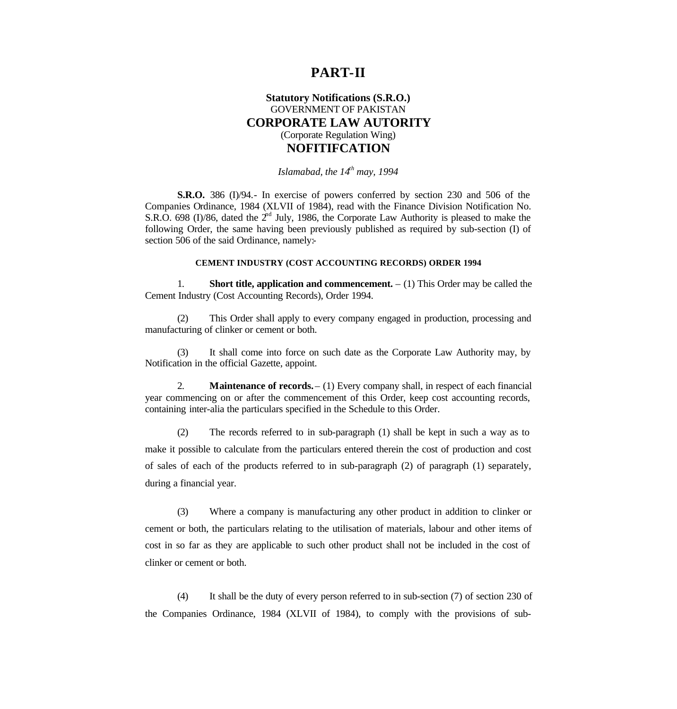### **PART-II**

### **Statutory Notifications (S.R.O.)** GOVERNMENT OF PAKISTAN **CORPORATE LAW AUTORITY** (Corporate Regulation Wing) **NOFITIFCATION**

### *Islamabad, the 14th may, 1994*

**S.R.O.** 386 (I)/94.- In exercise of powers conferred by section 230 and 506 of the Companies Ordinance, 1984 (XLVII of 1984), read with the Finance Division Notification No. S.R.O. 698 (I)/86, dated the  $2<sup>nd</sup>$  July, 1986, the Corporate Law Authority is pleased to make the following Order, the same having been previously published as required by sub-section (I) of section 506 of the said Ordinance, namely:-

#### **CEMENT INDUSTRY (COST ACCOUNTING RECORDS) ORDER 1994**

1. **Short title, application and commencement.** – (1) This Order may be called the Cement Industry (Cost Accounting Records), Order 1994.

(2) This Order shall apply to every company engaged in production, processing and manufacturing of clinker or cement or both.

(3) It shall come into force on such date as the Corporate Law Authority may, by Notification in the official Gazette, appoint.

2. **Maintenance of records.** – (1) Every company shall, in respect of each financial year commencing on or after the commencement of this Order, keep cost accounting records, containing inter-alia the particulars specified in the Schedule to this Order.

(2) The records referred to in sub-paragraph (1) shall be kept in such a way as to make it possible to calculate from the particulars entered therein the cost of production and cost of sales of each of the products referred to in sub-paragraph (2) of paragraph (1) separately, during a financial year.

(3) Where a company is manufacturing any other product in addition to clinker or cement or both, the particulars relating to the utilisation of materials, labour and other items of cost in so far as they are applicable to such other product shall not be included in the cost of clinker or cement or both.

(4) It shall be the duty of every person referred to in sub-section (7) of section 230 of the Companies Ordinance, 1984 (XLVII of 1984), to comply with the provisions of sub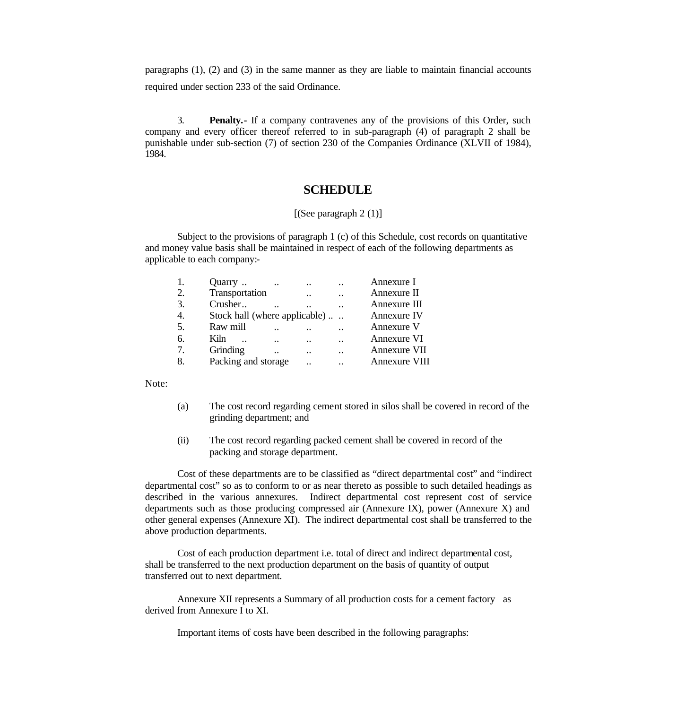paragraphs (1), (2) and (3) in the same manner as they are liable to maintain financial accounts required under section 233 of the said Ordinance.

3. **Penalty.-** If a company contravenes any of the provisions of this Order, such company and every officer thereof referred to in sub-paragraph (4) of paragraph 2 shall be punishable under sub-section (7) of section 230 of the Companies Ordinance (XLVII of 1984), 1984.

### **SCHEDULE**

#### [(See paragraph 2 (1)]

Subject to the provisions of paragraph 1 (c) of this Schedule, cost records on quantitative and money value basis shall be maintained in respect of each of the following departments as applicable to each company:-

| 1. | Quarry                        | $\cdots$             | $\ddotsc$            | $\cdot$ .            | Annexure I    |
|----|-------------------------------|----------------------|----------------------|----------------------|---------------|
| 2. | Transportation                |                      | $\ddot{\phantom{a}}$ | $\cdot$ .            | Annexure II   |
| 3. | Crusher                       | $\ddot{\phantom{0}}$ |                      |                      | Annexure III  |
| 4. | Stock hall (where applicable) |                      |                      |                      | Annexure IV   |
| 5. | Raw mill                      |                      |                      |                      | Annexure V    |
| 6. | Kiln.                         | $\cdot$ .            | $\ddot{\phantom{a}}$ | $\ddot{\phantom{a}}$ | Annexure VI   |
| 7. | Grinding                      |                      | $\ddot{\phantom{a}}$ | $\ddot{\phantom{a}}$ | Annexure VII  |
| 8. | Packing and storage           |                      |                      |                      | Annexure VIII |

Note:

- (a) The cost record regarding cement stored in silos shall be covered in record of the grinding department; and
- (ii) The cost record regarding packed cement shall be covered in record of the packing and storage department.

Cost of these departments are to be classified as "direct departmental cost" and "indirect departmental cost" so as to conform to or as near thereto as possible to such detailed headings as described in the various annexures. Indirect departmental cost represent cost of service departments such as those producing compressed air (Annexure IX), power (Annexure X) and other general expenses (Annexure XI). The indirect departmental cost shall be transferred to the above production departments.

Cost of each production department i.e. total of direct and indirect departmental cost, shall be transferred to the next production department on the basis of quantity of output transferred out to next department.

Annexure XII represents a Summary of all production costs for a cement factory as derived from Annexure I to XI.

Important items of costs have been described in the following paragraphs: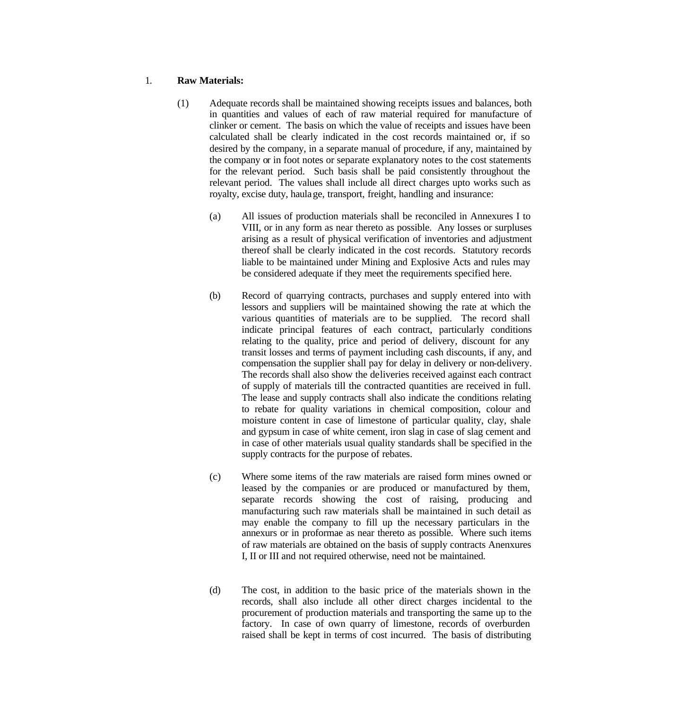#### 1. **Raw Materials:**

- (1) Adequate records shall be maintained showing receipts issues and balances, both in quantities and values of each of raw material required for manufacture of clinker or cement. The basis on which the value of receipts and issues have been calculated shall be clearly indicated in the cost records maintained or, if so desired by the company, in a separate manual of procedure, if any, maintained by the company or in foot notes or separate explanatory notes to the cost statements for the relevant period. Such basis shall be paid consistently throughout the relevant period. The values shall include all direct charges upto works such as royalty, excise duty, haulage, transport, freight, handling and insurance:
	- (a) All issues of production materials shall be reconciled in Annexures I to VIII, or in any form as near thereto as possible. Any losses or surpluses arising as a result of physical verification of inventories and adjustment thereof shall be clearly indicated in the cost records. Statutory records liable to be maintained under Mining and Explosive Acts and rules may be considered adequate if they meet the requirements specified here.
	- (b) Record of quarrying contracts, purchases and supply entered into with lessors and suppliers will be maintained showing the rate at which the various quantities of materials are to be supplied. The record shall indicate principal features of each contract, particularly conditions relating to the quality, price and period of delivery, discount for any transit losses and terms of payment including cash discounts, if any, and compensation the supplier shall pay for delay in delivery or non-delivery. The records shall also show the deliveries received against each contract of supply of materials till the contracted quantities are received in full. The lease and supply contracts shall also indicate the conditions relating to rebate for quality variations in chemical composition, colour and moisture content in case of limestone of particular quality, clay, shale and gypsum in case of white cement, iron slag in case of slag cement and in case of other materials usual quality standards shall be specified in the supply contracts for the purpose of rebates.
	- (c) Where some items of the raw materials are raised form mines owned or leased by the companies or are produced or manufactured by them, separate records showing the cost of raising, producing and manufacturing such raw materials shall be maintained in such detail as may enable the company to fill up the necessary particulars in the annexurs or in proformae as near thereto as possible. Where such items of raw materials are obtained on the basis of supply contracts Anenxures I, II or III and not required otherwise, need not be maintained.
	- (d) The cost, in addition to the basic price of the materials shown in the records, shall also include all other direct charges incidental to the procurement of production materials and transporting the same up to the factory. In case of own quarry of limestone, records of overburden raised shall be kept in terms of cost incurred. The basis of distributing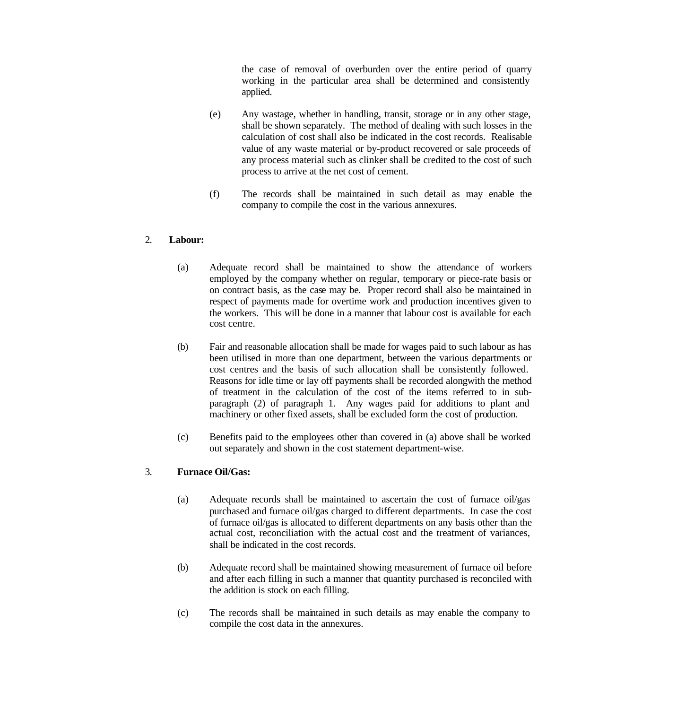the case of removal of overburden over the entire period of quarry working in the particular area shall be determined and consistently applied.

- (e) Any wastage, whether in handling, transit, storage or in any other stage, shall be shown separately. The method of dealing with such losses in the calculation of cost shall also be indicated in the cost records. Realisable value of any waste material or by-product recovered or sale proceeds of any process material such as clinker shall be credited to the cost of such process to arrive at the net cost of cement.
- (f) The records shall be maintained in such detail as may enable the company to compile the cost in the various annexures.

### 2. **Labour:**

- (a) Adequate record shall be maintained to show the attendance of workers employed by the company whether on regular, temporary or piece-rate basis or on contract basis, as the case may be. Proper record shall also be maintained in respect of payments made for overtime work and production incentives given to the workers. This will be done in a manner that labour cost is available for each cost centre.
- (b) Fair and reasonable allocation shall be made for wages paid to such labour as has been utilised in more than one department, between the various departments or cost centres and the basis of such allocation shall be consistently followed. Reasons for idle time or lay off payments shall be recorded alongwith the method of treatment in the calculation of the cost of the items referred to in subparagraph (2) of paragraph 1. Any wages paid for additions to plant and machinery or other fixed assets, shall be excluded form the cost of production.
- (c) Benefits paid to the employees other than covered in (a) above shall be worked out separately and shown in the cost statement department-wise.

### 3. **Furnace Oil/Gas:**

- (a) Adequate records shall be maintained to ascertain the cost of furnace oil/gas purchased and furnace oil/gas charged to different departments. In case the cost of furnace oil/gas is allocated to different departments on any basis other than the actual cost, reconciliation with the actual cost and the treatment of variances, shall be indicated in the cost records.
- (b) Adequate record shall be maintained showing measurement of furnace oil before and after each filling in such a manner that quantity purchased is reconciled with the addition is stock on each filling.
- (c) The records shall be maintained in such details as may enable the company to compile the cost data in the annexures.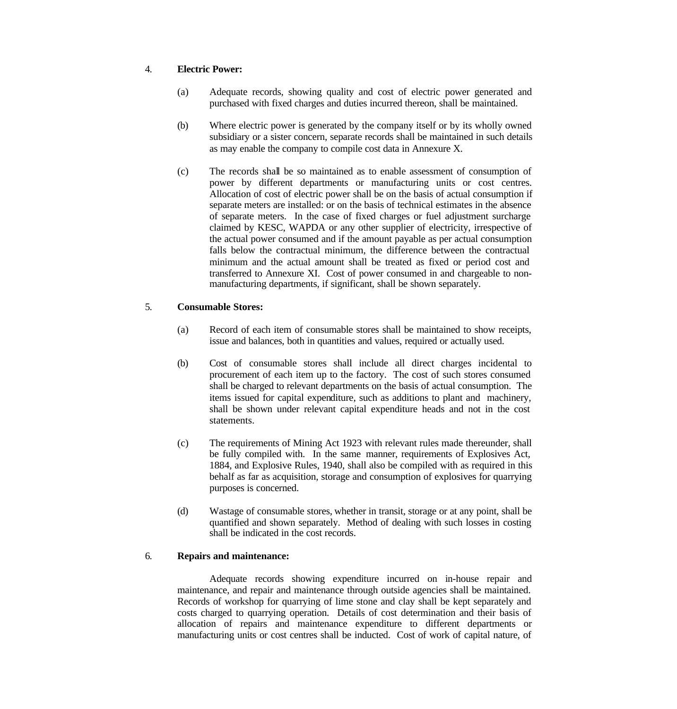### 4. **Electric Power:**

- (a) Adequate records, showing quality and cost of electric power generated and purchased with fixed charges and duties incurred thereon, shall be maintained.
- (b) Where electric power is generated by the company itself or by its wholly owned subsidiary or a sister concern, separate records shall be maintained in such details as may enable the company to compile cost data in Annexure X.
- (c) The records shall be so maintained as to enable assessment of consumption of power by different departments or manufacturing units or cost centres. Allocation of cost of electric power shall be on the basis of actual consumption if separate meters are installed: or on the basis of technical estimates in the absence of separate meters. In the case of fixed charges or fuel adjustment surcharge claimed by KESC, WAPDA or any other supplier of electricity, irrespective of the actual power consumed and if the amount payable as per actual consumption falls below the contractual minimum, the difference between the contractual minimum and the actual amount shall be treated as fixed or period cost and transferred to Annexure XI. Cost of power consumed in and chargeable to nonmanufacturing departments, if significant, shall be shown separately.

### 5. **Consumable Stores:**

- (a) Record of each item of consumable stores shall be maintained to show receipts, issue and balances, both in quantities and values, required or actually used.
- (b) Cost of consumable stores shall include all direct charges incidental to procurement of each item up to the factory. The cost of such stores consumed shall be charged to relevant departments on the basis of actual consumption. The items issued for capital expenditure, such as additions to plant and machinery, shall be shown under relevant capital expenditure heads and not in the cost statements.
- (c) The requirements of Mining Act 1923 with relevant rules made thereunder, shall be fully compiled with. In the same manner, requirements of Explosives Act, 1884, and Explosive Rules, 1940, shall also be compiled with as required in this behalf as far as acquisition, storage and consumption of explosives for quarrying purposes is concerned.
- (d) Wastage of consumable stores, whether in transit, storage or at any point, shall be quantified and shown separately. Method of dealing with such losses in costing shall be indicated in the cost records.

### 6. **Repairs and maintenance:**

Adequate records showing expenditure incurred on in-house repair and maintenance, and repair and maintenance through outside agencies shall be maintained. Records of workshop for quarrying of lime stone and clay shall be kept separately and costs charged to quarrying operation. Details of cost determination and their basis of allocation of repairs and maintenance expenditure to different departments or manufacturing units or cost centres shall be inducted. Cost of work of capital nature, of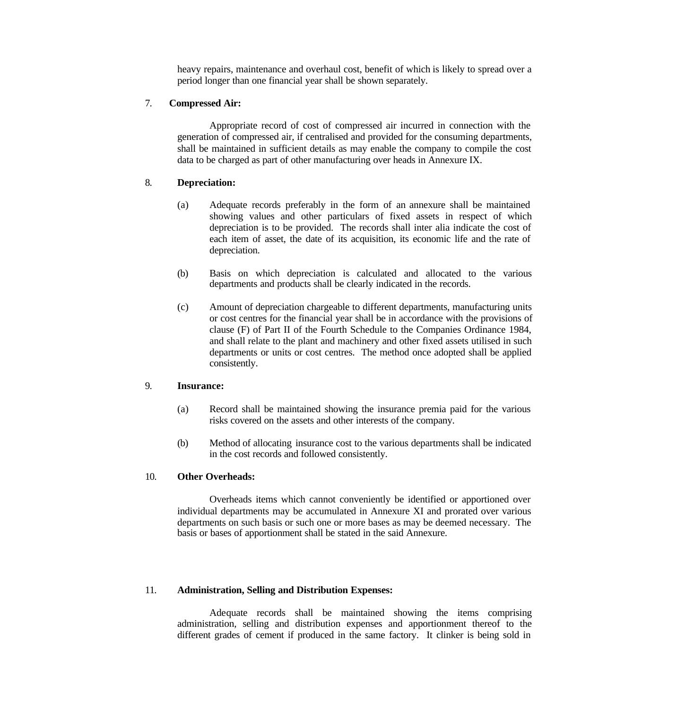heavy repairs, maintenance and overhaul cost, benefit of which is likely to spread over a period longer than one financial year shall be shown separately.

### 7. **Compressed Air:**

Appropriate record of cost of compressed air incurred in connection with the generation of compressed air, if centralised and provided for the consuming departments, shall be maintained in sufficient details as may enable the company to compile the cost data to be charged as part of other manufacturing over heads in Annexure IX.

### 8. **Depreciation:**

- (a) Adequate records preferably in the form of an annexure shall be maintained showing values and other particulars of fixed assets in respect of which depreciation is to be provided. The records shall inter alia indicate the cost of each item of asset, the date of its acquisition, its economic life and the rate of depreciation.
- (b) Basis on which depreciation is calculated and allocated to the various departments and products shall be clearly indicated in the records.
- (c) Amount of depreciation chargeable to different departments, manufacturing units or cost centres for the financial year shall be in accordance with the provisions of clause (F) of Part II of the Fourth Schedule to the Companies Ordinance 1984, and shall relate to the plant and machinery and other fixed assets utilised in such departments or units or cost centres. The method once adopted shall be applied consistently.

#### 9. **Insurance:**

- (a) Record shall be maintained showing the insurance premia paid for the various risks covered on the assets and other interests of the company.
- (b) Method of allocating insurance cost to the various departments shall be indicated in the cost records and followed consistently.

#### 10. **Other Overheads:**

Overheads items which cannot conveniently be identified or apportioned over individual departments may be accumulated in Annexure XI and prorated over various departments on such basis or such one or more bases as may be deemed necessary. The basis or bases of apportionment shall be stated in the said Annexure.

#### 11. **Administration, Selling and Distribution Expenses:**

Adequate records shall be maintained showing the items comprising administration, selling and distribution expenses and apportionment thereof to the different grades of cement if produced in the same factory. It clinker is being sold in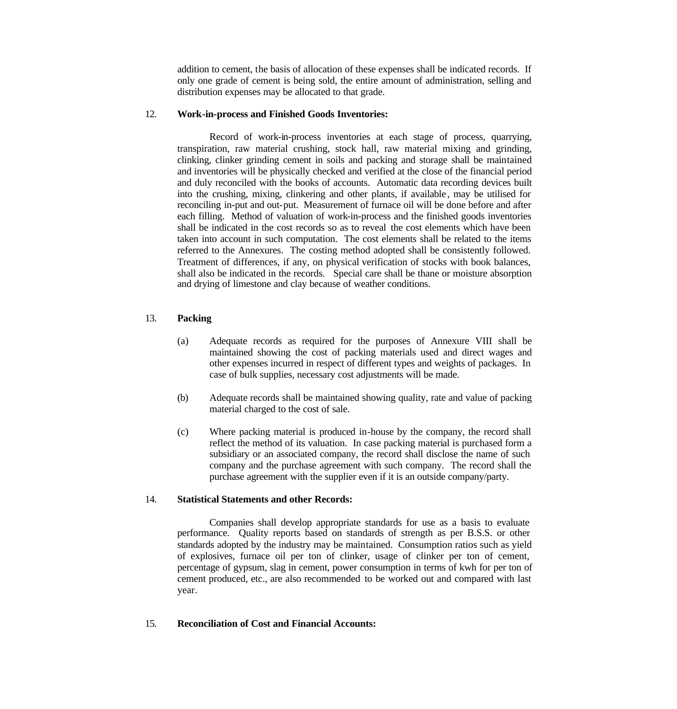addition to cement, the basis of allocation of these expenses shall be indicated records. If only one grade of cement is being sold, the entire amount of administration, selling and distribution expenses may be allocated to that grade.

### 12. **Work-in-process and Finished Goods Inventories:**

Record of work-in-process inventories at each stage of process, quarrying, transpiration, raw material crushing, stock hall, raw material mixing and grinding, clinking, clinker grinding cement in soils and packing and storage shall be maintained and inventories will be physically checked and verified at the close of the financial period and duly reconciled with the books of accounts. Automatic data recording devices built into the crushing, mixing, clinkering and other plants, if available , may be utilised for reconciling in-put and out-put. Measurement of furnace oil will be done before and after each filling. Method of valuation of work-in-process and the finished goods inventories shall be indicated in the cost records so as to reveal the cost elements which have been taken into account in such computation. The cost elements shall be related to the items referred to the Annexures. The costing method adopted shall be consistently followed. Treatment of differences, if any, on physical verification of stocks with book balances, shall also be indicated in the records. Special care shall be thane or moisture absorption and drying of limestone and clay because of weather conditions.

### 13. **Packing**

- (a) Adequate records as required for the purposes of Annexure VIII shall be maintained showing the cost of packing materials used and direct wages and other expenses incurred in respect of different types and weights of packages. In case of bulk supplies, necessary cost adjustments will be made.
- (b) Adequate records shall be maintained showing quality, rate and value of packing material charged to the cost of sale.
- (c) Where packing material is produced in-house by the company, the record shall reflect the method of its valuation. In case packing material is purchased form a subsidiary or an associated company, the record shall disclose the name of such company and the purchase agreement with such company. The record shall the purchase agreement with the supplier even if it is an outside company/party.

### 14. **Statistical Statements and other Records:**

Companies shall develop appropriate standards for use as a basis to evaluate performance. Quality reports based on standards of strength as per B.S.S. or other standards adopted by the industry may be maintained. Consumption ratios such as yield of explosives, furnace oil per ton of clinker, usage of clinker per ton of cement, percentage of gypsum, slag in cement, power consumption in terms of kwh for per ton of cement produced, etc., are also recommended to be worked out and compared with last year.

#### 15. **Reconciliation of Cost and Financial Accounts:**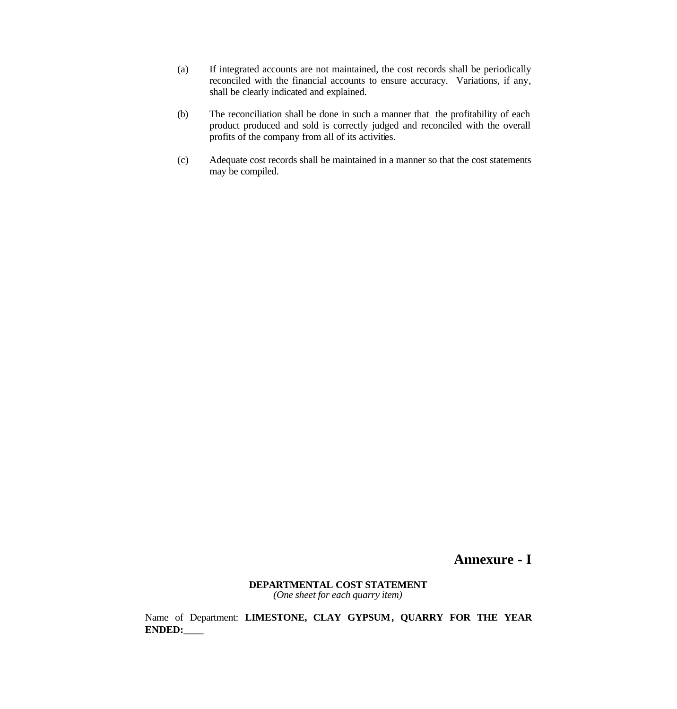- (a) If integrated accounts are not maintained, the cost records shall be periodically reconciled with the financial accounts to ensure accuracy. Variations, if any, shall be clearly indicated and explained.
- (b) The reconciliation shall be done in such a manner that the profitability of each product produced and sold is correctly judged and reconciled with the overall profits of the company from all of its activities.
- (c) Adequate cost records shall be maintained in a manner so that the cost statements may be compiled.

### **Annexure - I**

#### **DEPARTMENTAL COST STATEMENT** *(One sheet for each quarry item)*

Name of Department: **LIMESTONE, CLAY GYPSUM, QUARRY FOR THE YEAR ENDED:\_\_\_\_**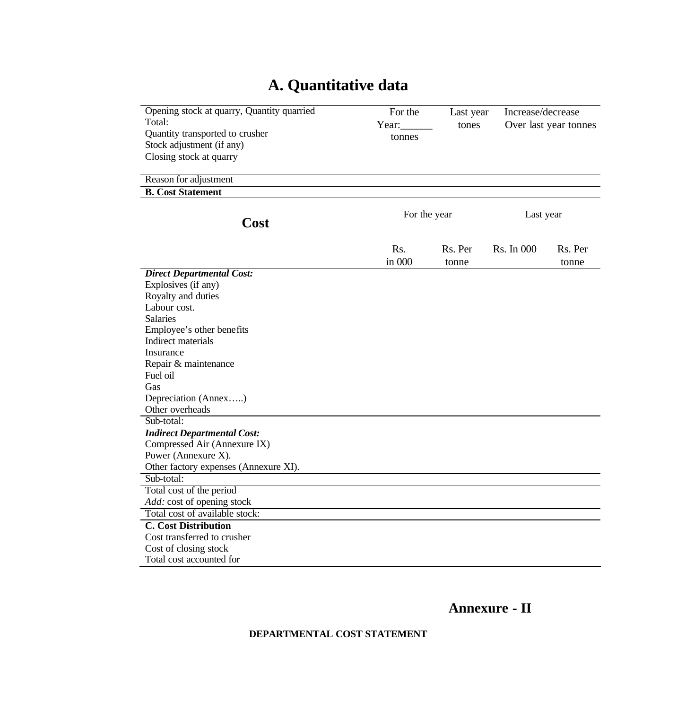# **A. Quantitative data**

| Opening stock at quarry, Quantity quarried<br>Total:<br>Quantity transported to crusher<br>Stock adjustment (if any)<br>Closing stock at quarry<br>Reason for adjustment                                                                                                                                                   | Year: | For the<br>tonnes | Last year<br>tones | Increase/decrease<br>Over last year tonnes |                  |
|----------------------------------------------------------------------------------------------------------------------------------------------------------------------------------------------------------------------------------------------------------------------------------------------------------------------------|-------|-------------------|--------------------|--------------------------------------------|------------------|
| <b>B.</b> Cost Statement                                                                                                                                                                                                                                                                                                   |       | For the year      |                    | Last year                                  |                  |
| Cost                                                                                                                                                                                                                                                                                                                       |       |                   |                    |                                            |                  |
|                                                                                                                                                                                                                                                                                                                            |       | Rs.<br>in 000     | Rs. Per<br>tonne   | Rs. In 000                                 | Rs. Per<br>tonne |
| <b>Direct Departmental Cost:</b><br>Explosives (if any)<br>Royalty and duties<br>Labour cost.<br><b>Salaries</b><br>Employee's other benefits<br>Indirect materials<br>Insurance<br>Repair & maintenance<br>Fuel oil<br>Gas<br>Depreciation (Annex)<br>Other overheads<br>Sub-total:<br><b>Indirect Departmental Cost:</b> |       |                   |                    |                                            |                  |
| Compressed Air (Annexure IX)<br>Power (Annexure X).<br>Other factory expenses (Annexure XI).                                                                                                                                                                                                                               |       |                   |                    |                                            |                  |
| Sub-total:<br>Total cost of the period                                                                                                                                                                                                                                                                                     |       |                   |                    |                                            |                  |
| Add: cost of opening stock                                                                                                                                                                                                                                                                                                 |       |                   |                    |                                            |                  |
| Total cost of available stock:                                                                                                                                                                                                                                                                                             |       |                   |                    |                                            |                  |
| <b>C.</b> Cost Distribution<br>Cost transferred to crusher                                                                                                                                                                                                                                                                 |       |                   |                    |                                            |                  |
| Cost of closing stock                                                                                                                                                                                                                                                                                                      |       |                   |                    |                                            |                  |
| Total cost accounted for                                                                                                                                                                                                                                                                                                   |       |                   |                    |                                            |                  |

**Annexure - II** 

**DEPARTMENTAL COST STATEMENT**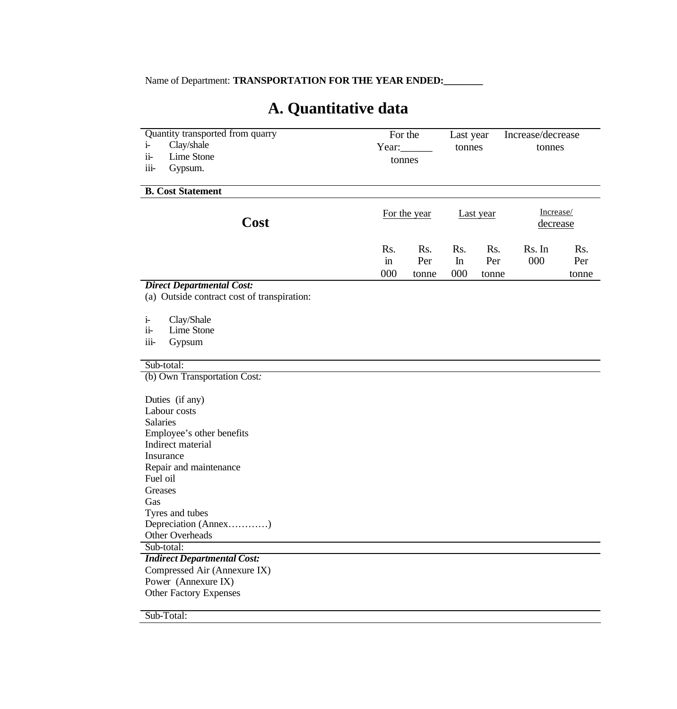Name of Department: **TRANSPORTATION FOR THE YEAR ENDED:** 

# **A. Quantitative data**

| Quantity transported from quarry<br>Clay/shale<br>$i-$<br>$ii-$<br>Lime Stone<br>iii-<br>Gypsum.                                                                                                                                        | For the<br>Year: $\qquad \qquad$<br>tonnes |                     | Last year<br>tonnes |                     | Increase/decrease<br>tonnes |                     |
|-----------------------------------------------------------------------------------------------------------------------------------------------------------------------------------------------------------------------------------------|--------------------------------------------|---------------------|---------------------|---------------------|-----------------------------|---------------------|
| <b>B.</b> Cost Statement                                                                                                                                                                                                                |                                            |                     |                     |                     |                             |                     |
| Cost                                                                                                                                                                                                                                    |                                            | For the year        |                     | Last year           | Increase/<br>decrease       |                     |
|                                                                                                                                                                                                                                         | Rs.<br>$\operatorname{in}$<br>000          | Rs.<br>Per<br>tonne | Rs.<br>In<br>000    | Rs.<br>Per<br>tonne | Rs. In<br>000               | Rs.<br>Per<br>tonne |
| <b>Direct Departmental Cost:</b>                                                                                                                                                                                                        |                                            |                     |                     |                     |                             |                     |
| (a) Outside contract cost of transpiration:                                                                                                                                                                                             |                                            |                     |                     |                     |                             |                     |
| Clay/Shale<br>$\mathbf{i}$<br>$ii-$<br>Lime Stone<br>iii-<br>Gypsum                                                                                                                                                                     |                                            |                     |                     |                     |                             |                     |
| Sub-total:                                                                                                                                                                                                                              |                                            |                     |                     |                     |                             |                     |
| (b) Own Transportation Cost:                                                                                                                                                                                                            |                                            |                     |                     |                     |                             |                     |
| Duties (if any)<br>Labour costs<br><b>Salaries</b><br>Employee's other benefits<br>Indirect material<br>Insurance<br>Repair and maintenance<br>Fuel oil<br>Greases<br>Gas<br>Tyres and tubes<br>Depreciation (Annex)<br>Other Overheads |                                            |                     |                     |                     |                             |                     |
| Sub-total:                                                                                                                                                                                                                              |                                            |                     |                     |                     |                             |                     |
| <b>Indirect Departmental Cost:</b><br>Compressed Air (Annexure IX)<br>Power (Annexure IX)<br><b>Other Factory Expenses</b>                                                                                                              |                                            |                     |                     |                     |                             |                     |

Sub-Total: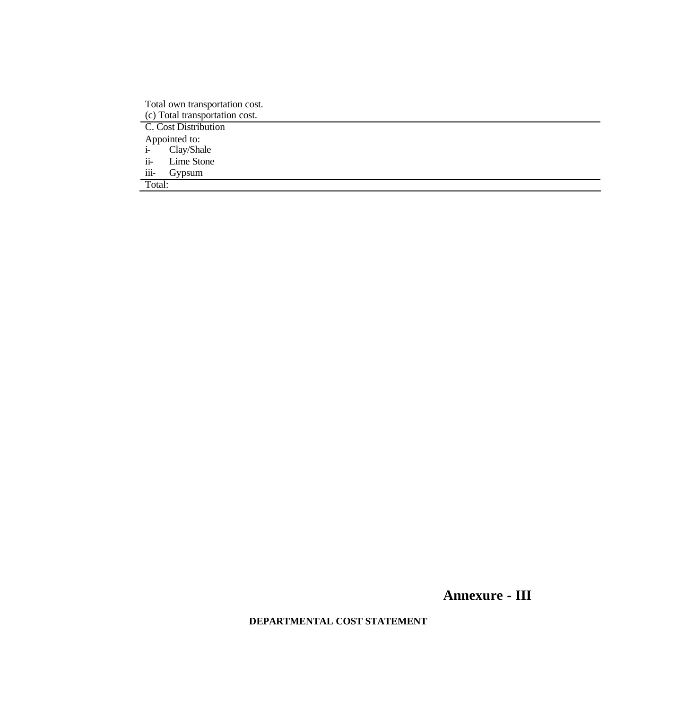| Total own transportation cost.<br>(c) Total transportation cost. |
|------------------------------------------------------------------|
| C. Cost Distribution                                             |
| Appointed to:                                                    |
| Clay/Shale<br>$i-$                                               |
| Lime Stone<br>$ii-$                                              |
| iii-<br>Gypsum                                                   |
| Total:                                                           |

**Annexure - III** 

**DEPARTMENTAL COST STATEMENT**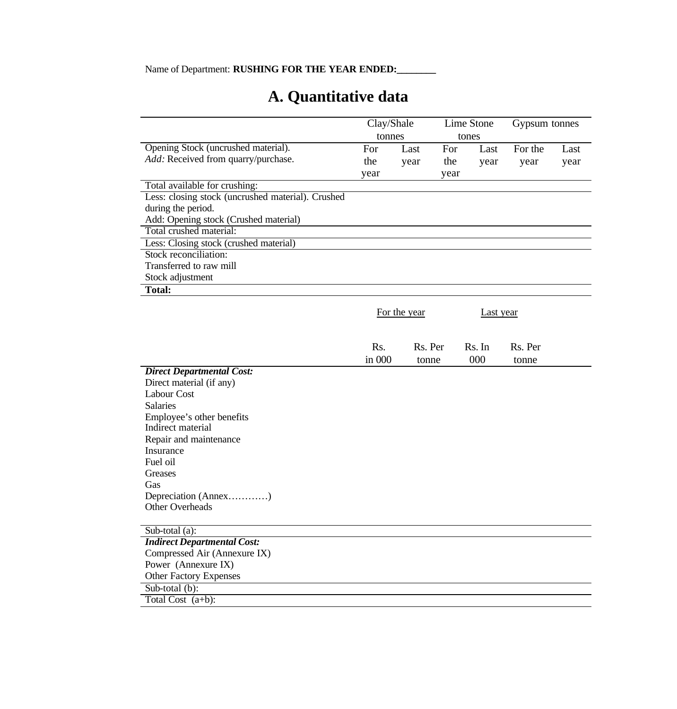# **A. Quantitative data**

|                                                   | Clay/Shale |              | Lime Stone |                  | Gypsum tonnes |      |
|---------------------------------------------------|------------|--------------|------------|------------------|---------------|------|
|                                                   | tonnes     |              |            | tones            |               |      |
| Opening Stock (uncrushed material).               | For        | Last         | For        | Last             | For the       | Last |
| Add: Received from quarry/purchase.               | the        | year         | the        | year             | year          | year |
|                                                   | year       |              | year       |                  |               |      |
| Total available for crushing:                     |            |              |            |                  |               |      |
| Less: closing stock (uncrushed material). Crushed |            |              |            |                  |               |      |
| during the period.                                |            |              |            |                  |               |      |
| Add: Opening stock (Crushed material)             |            |              |            |                  |               |      |
| Total crushed material:                           |            |              |            |                  |               |      |
| Less: Closing stock (crushed material)            |            |              |            |                  |               |      |
| Stock reconciliation:                             |            |              |            |                  |               |      |
| Transferred to raw mill                           |            |              |            |                  |               |      |
| Stock adjustment                                  |            |              |            |                  |               |      |
| <b>Total:</b>                                     |            |              |            |                  |               |      |
|                                                   |            |              |            |                  |               |      |
|                                                   |            | For the year |            | <b>Last</b> year |               |      |
|                                                   |            |              |            |                  |               |      |
|                                                   |            |              |            |                  |               |      |
|                                                   | Rs.        | Rs. Per      |            | Rs. In           | Rs. Per       |      |
|                                                   | in 000     | tonne        |            | 000              | tonne         |      |
| <b>Direct Departmental Cost:</b>                  |            |              |            |                  |               |      |
| Direct material (if any)                          |            |              |            |                  |               |      |
| Labour Cost                                       |            |              |            |                  |               |      |
| <b>Salaries</b>                                   |            |              |            |                  |               |      |
| Employee's other benefits                         |            |              |            |                  |               |      |
| Indirect material                                 |            |              |            |                  |               |      |
| Repair and maintenance                            |            |              |            |                  |               |      |
| Insurance                                         |            |              |            |                  |               |      |
| Fuel oil                                          |            |              |            |                  |               |      |
| Greases                                           |            |              |            |                  |               |      |
| Gas                                               |            |              |            |                  |               |      |
| Depreciation (Annex)                              |            |              |            |                  |               |      |
| <b>Other Overheads</b>                            |            |              |            |                  |               |      |
|                                                   |            |              |            |                  |               |      |
| Sub-total $(a)$ :                                 |            |              |            |                  |               |      |
| <b>Indirect Departmental Cost:</b>                |            |              |            |                  |               |      |
| Compressed Air (Annexure IX)                      |            |              |            |                  |               |      |
| Power (Annexure IX)                               |            |              |            |                  |               |      |
| <b>Other Factory Expenses</b>                     |            |              |            |                  |               |      |
| Sub-total (b):                                    |            |              |            |                  |               |      |
| Total Cost $(a+b)$ :                              |            |              |            |                  |               |      |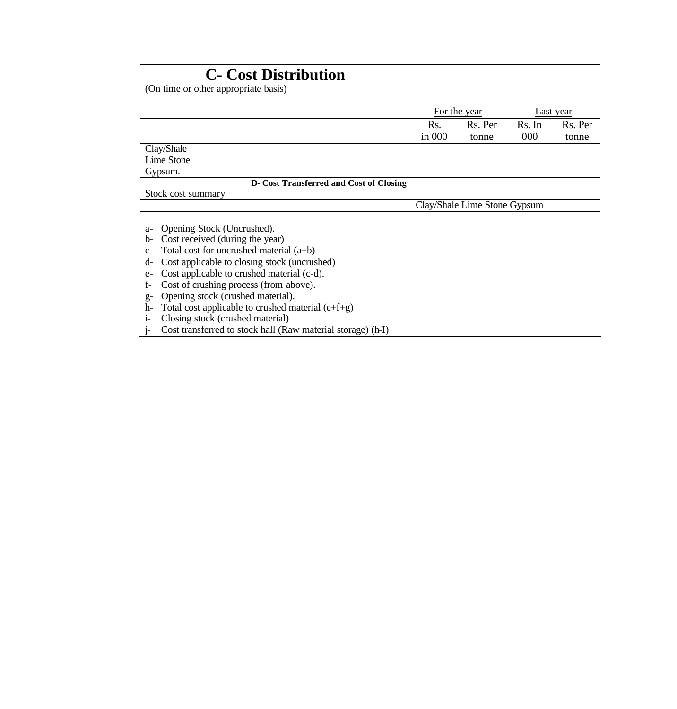# **C- Cost Distribution**

(On time or other appropriate basis)

|                                                                                                                                                                                                                                                                                                                                                                                                                                                                                                                     | For the year |                              |        | Last year |
|---------------------------------------------------------------------------------------------------------------------------------------------------------------------------------------------------------------------------------------------------------------------------------------------------------------------------------------------------------------------------------------------------------------------------------------------------------------------------------------------------------------------|--------------|------------------------------|--------|-----------|
|                                                                                                                                                                                                                                                                                                                                                                                                                                                                                                                     | Rs.          | Rs. Per                      | Rs. In | Rs. Per   |
|                                                                                                                                                                                                                                                                                                                                                                                                                                                                                                                     | in $000$     | tonne                        | 000    | tonne     |
| Clay/Shale                                                                                                                                                                                                                                                                                                                                                                                                                                                                                                          |              |                              |        |           |
| Lime Stone                                                                                                                                                                                                                                                                                                                                                                                                                                                                                                          |              |                              |        |           |
| Gypsum.                                                                                                                                                                                                                                                                                                                                                                                                                                                                                                             |              |                              |        |           |
| <b>D-</b> Cost Transferred and Cost of Closing                                                                                                                                                                                                                                                                                                                                                                                                                                                                      |              |                              |        |           |
| Stock cost summary                                                                                                                                                                                                                                                                                                                                                                                                                                                                                                  |              |                              |        |           |
|                                                                                                                                                                                                                                                                                                                                                                                                                                                                                                                     |              | Clay/Shale Lime Stone Gypsum |        |           |
| Opening Stock (Uncrushed).<br>a-<br>Cost received (during the year)<br>b-<br>Total cost for uncrushed material $(a+b)$<br>$C-$<br>Cost applicable to closing stock (uncrushed)<br>d-<br>Cost applicable to crushed material (c-d).<br>$e-$<br>Cost of crushing process (from above).<br>f-<br>Opening stock (crushed material).<br>$g-$<br>Total cost applicable to crushed material $(e+f+g)$<br>h-<br>Closing stock (crushed material)<br>1-<br>Cost transferred to stock hall (Raw material storage) (h-I)<br>ŀ. |              |                              |        |           |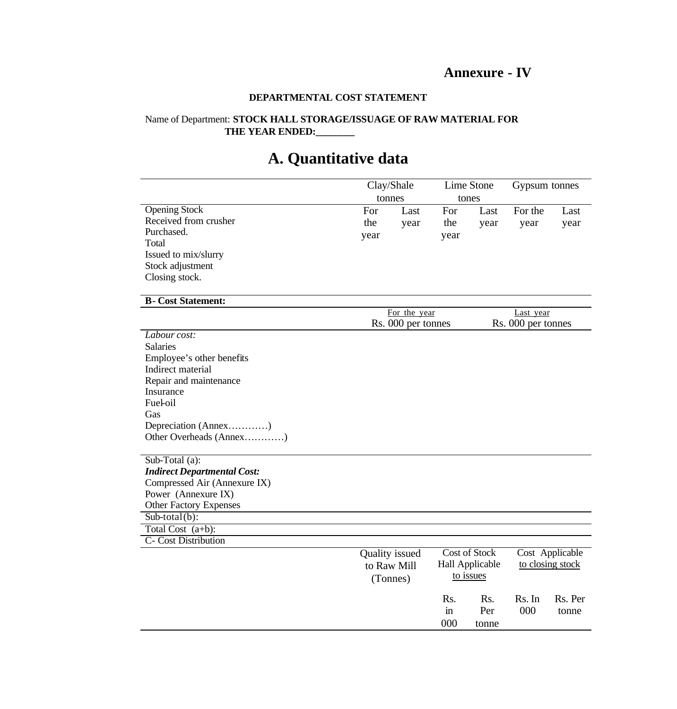## **Annexure - IV**

### **DEPARTMENTAL COST STATEMENT**

### Name of Department: **STOCK HALL STORAGE/ISSUAGE OF RAW MATERIAL FOR THE YEAR ENDED:\_\_\_\_\_\_\_\_**

# **A. Quantitative data**

|                                    | Clay/Shale     |                                    | Lime Stone          |                      | Gypsum tonnes                   |                  |  |
|------------------------------------|----------------|------------------------------------|---------------------|----------------------|---------------------------------|------------------|--|
|                                    | tonnes         |                                    |                     | tones                |                                 |                  |  |
| <b>Opening Stock</b>               | For            | Last                               | For                 | Last                 | For the                         | Last             |  |
| Received from crusher              | the            | year                               | the                 | year                 | year                            | year             |  |
| Purchased.                         | year           |                                    | year                |                      |                                 |                  |  |
| Total                              |                |                                    |                     |                      |                                 |                  |  |
| Issued to mix/slurry               |                |                                    |                     |                      |                                 |                  |  |
| Stock adjustment                   |                |                                    |                     |                      |                                 |                  |  |
| Closing stock.                     |                |                                    |                     |                      |                                 |                  |  |
|                                    |                |                                    |                     |                      |                                 |                  |  |
| <b>B-Cost Statement:</b>           |                |                                    |                     |                      |                                 |                  |  |
|                                    |                | For the year<br>Rs. 000 per tonnes |                     |                      | Last year<br>Rs. 000 per tonnes |                  |  |
| Labour cost:                       |                |                                    |                     |                      |                                 |                  |  |
| <b>Salaries</b>                    |                |                                    |                     |                      |                                 |                  |  |
| Employee's other benefits          |                |                                    |                     |                      |                                 |                  |  |
| Indirect material                  |                |                                    |                     |                      |                                 |                  |  |
| Repair and maintenance             |                |                                    |                     |                      |                                 |                  |  |
| Insurance                          |                |                                    |                     |                      |                                 |                  |  |
| Fueloil                            |                |                                    |                     |                      |                                 |                  |  |
| Gas                                |                |                                    |                     |                      |                                 |                  |  |
| Depreciation (Annex)               |                |                                    |                     |                      |                                 |                  |  |
| Other Overheads (Annex)            |                |                                    |                     |                      |                                 |                  |  |
|                                    |                |                                    |                     |                      |                                 |                  |  |
| Sub-Total (a):                     |                |                                    |                     |                      |                                 |                  |  |
| <b>Indirect Departmental Cost:</b> |                |                                    |                     |                      |                                 |                  |  |
| Compressed Air (Annexure IX)       |                |                                    |                     |                      |                                 |                  |  |
| Power (Annexure IX)                |                |                                    |                     |                      |                                 |                  |  |
| <b>Other Factory Expenses</b>      |                |                                    |                     |                      |                                 |                  |  |
| $Sub-total(b)$ :                   |                |                                    |                     |                      |                                 |                  |  |
| Total Cost $(a+b)$ :               |                |                                    |                     |                      |                                 |                  |  |
| C- Cost Distribution               |                |                                    |                     |                      |                                 |                  |  |
|                                    | Quality issued |                                    |                     | <b>Cost of Stock</b> |                                 | Cost Applicable  |  |
|                                    | to Raw Mill    |                                    |                     | Hall Applicable      |                                 | to closing stock |  |
|                                    | (Tonnes)       |                                    |                     | to issues            |                                 |                  |  |
|                                    |                |                                    |                     |                      |                                 |                  |  |
|                                    |                |                                    | Rs.                 | Rs.                  | Rs. In                          | Rs. Per          |  |
|                                    |                |                                    | $\operatorname{in}$ | Per                  | 000                             | tonne            |  |
|                                    |                |                                    | 000                 | tonne                |                                 |                  |  |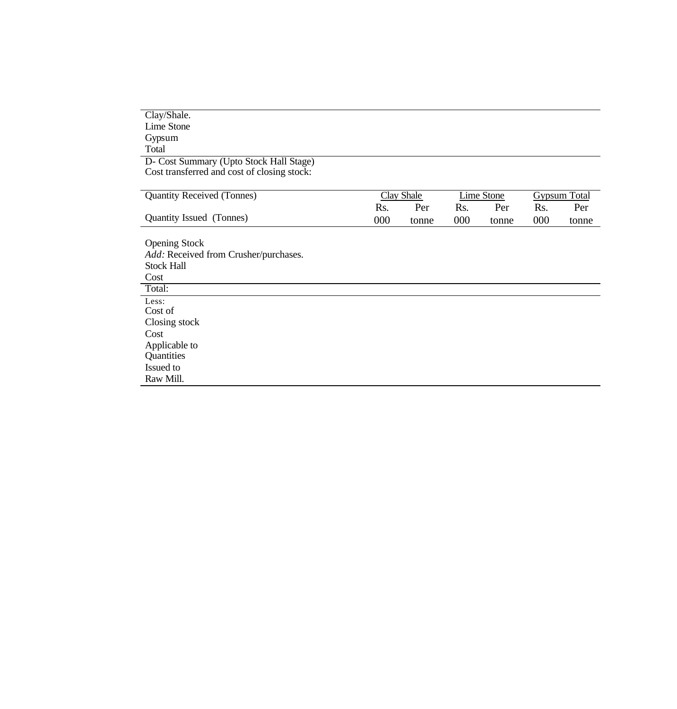| Clay/Shale.                                 |     |                   |     |            |     |                     |
|---------------------------------------------|-----|-------------------|-----|------------|-----|---------------------|
| Lime Stone                                  |     |                   |     |            |     |                     |
| Gypsum                                      |     |                   |     |            |     |                     |
| Total                                       |     |                   |     |            |     |                     |
| D- Cost Summary (Upto Stock Hall Stage)     |     |                   |     |            |     |                     |
| Cost transferred and cost of closing stock: |     |                   |     |            |     |                     |
|                                             |     |                   |     |            |     |                     |
| <b>Quantity Received (Tonnes)</b>           |     | <b>Clay Shale</b> |     | Lime Stone |     | <b>Gypsum Total</b> |
|                                             | Rs. | Per               | Rs. | Per        | Rs. | Per                 |
| Quantity Issued (Tonnes)                    | 000 | tonne             | 000 | tonne      | 000 | tonne               |
| <b>Opening Stock</b>                        |     |                   |     |            |     |                     |
| Add: Received from Crusher/purchases.       |     |                   |     |            |     |                     |
| <b>Stock Hall</b>                           |     |                   |     |            |     |                     |
| Cost                                        |     |                   |     |            |     |                     |
| Total:                                      |     |                   |     |            |     |                     |
| Less:                                       |     |                   |     |            |     |                     |
| Cost of                                     |     |                   |     |            |     |                     |
| Closing stock                               |     |                   |     |            |     |                     |
| Cost                                        |     |                   |     |            |     |                     |
| Applicable to                               |     |                   |     |            |     |                     |
| Quantities                                  |     |                   |     |            |     |                     |
| Issued to                                   |     |                   |     |            |     |                     |
| Raw Mill.                                   |     |                   |     |            |     |                     |
|                                             |     |                   |     |            |     |                     |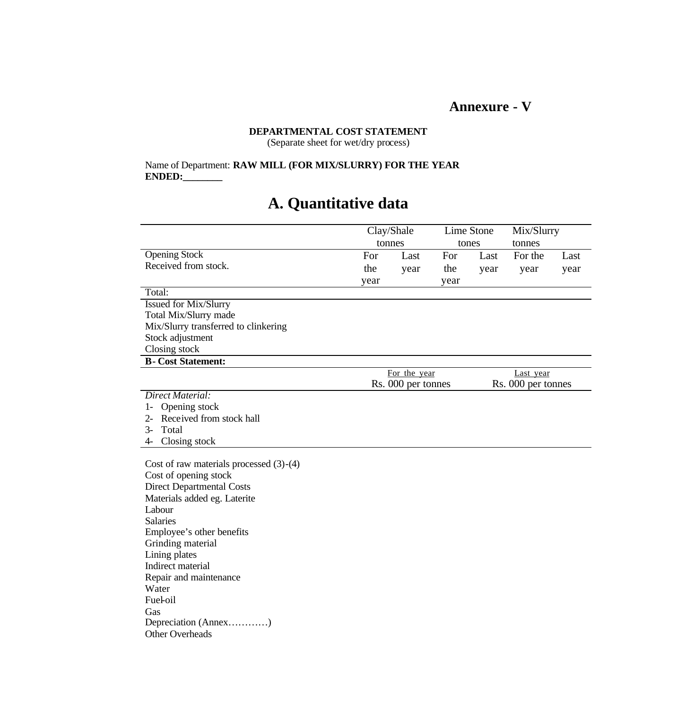## **Annexure - V**

### **DEPARTMENTAL COST STATEMENT** (Separate sheet for wet/dry process)

Name of Department: **RAW MILL (FOR MIX/SLURRY) FOR THE YEAR ENDED:\_\_\_\_\_\_\_\_**

# **A. Quantitative data**

|                                           | Clay/Shale |                    | Lime Stone |                 | Mix/Slurry         |      |
|-------------------------------------------|------------|--------------------|------------|-----------------|--------------------|------|
|                                           | tonnes     |                    |            | tones<br>tonnes |                    |      |
| Opening Stock                             | For        | Last               | For        | Last            | For the            | Last |
| Received from stock.                      | the        | year               | the        | year            | year               | year |
|                                           | year       |                    | year       |                 |                    |      |
| Total:                                    |            |                    |            |                 |                    |      |
| <b>Issued for Mix/Slurry</b>              |            |                    |            |                 |                    |      |
| Total Mix/Slurry made                     |            |                    |            |                 |                    |      |
| Mix/Slurry transferred to clinkering      |            |                    |            |                 |                    |      |
| Stock adjustment                          |            |                    |            |                 |                    |      |
| Closing stock                             |            |                    |            |                 |                    |      |
| <b>B-Cost Statement:</b>                  |            |                    |            |                 |                    |      |
|                                           |            | For the year       |            |                 | Last year          |      |
|                                           |            | Rs. 000 per tonnes |            |                 | Rs. 000 per tonnes |      |
| Direct Material:                          |            |                    |            |                 |                    |      |
| Opening stock                             |            |                    |            |                 |                    |      |
| Received from stock hall<br>$2 -$         |            |                    |            |                 |                    |      |
| Total<br>3-                               |            |                    |            |                 |                    |      |
| Closing stock<br>4-                       |            |                    |            |                 |                    |      |
|                                           |            |                    |            |                 |                    |      |
| Cost of raw materials processed $(3)-(4)$ |            |                    |            |                 |                    |      |
| Cost of opening stock                     |            |                    |            |                 |                    |      |
| <b>Direct Departmental Costs</b>          |            |                    |            |                 |                    |      |
| Materials added eg. Laterite              |            |                    |            |                 |                    |      |
| Labour                                    |            |                    |            |                 |                    |      |
| <b>Salaries</b>                           |            |                    |            |                 |                    |      |
| Employee's other benefits                 |            |                    |            |                 |                    |      |

Grinding material Lining plates Indirect material Repair and maintenance Water Fuel-oil Gas Depreciation (Annex…………) Other Overheads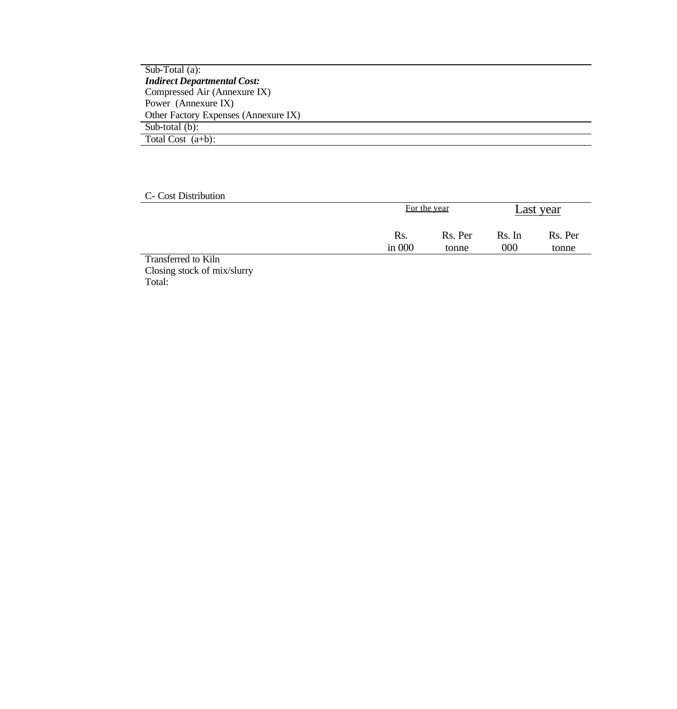Sub-Total (a): *Indirect Departmental Cost:* Compressed Air (Annexure IX) Power (Annexure IX) Other Factory Expenses (Annexure IX) Sub-total (b): Total Cost (a+b):

C- Cost Distribution

|                     |                 | For the year     |               | Last year        |
|---------------------|-----------------|------------------|---------------|------------------|
|                     | Rs.<br>in $000$ | Rs. Per<br>tonne | Rs. In<br>000 | Rs. Per<br>tonne |
| Transferred to Kiln |                 |                  |               |                  |

Closing stock of mix/slurry Total: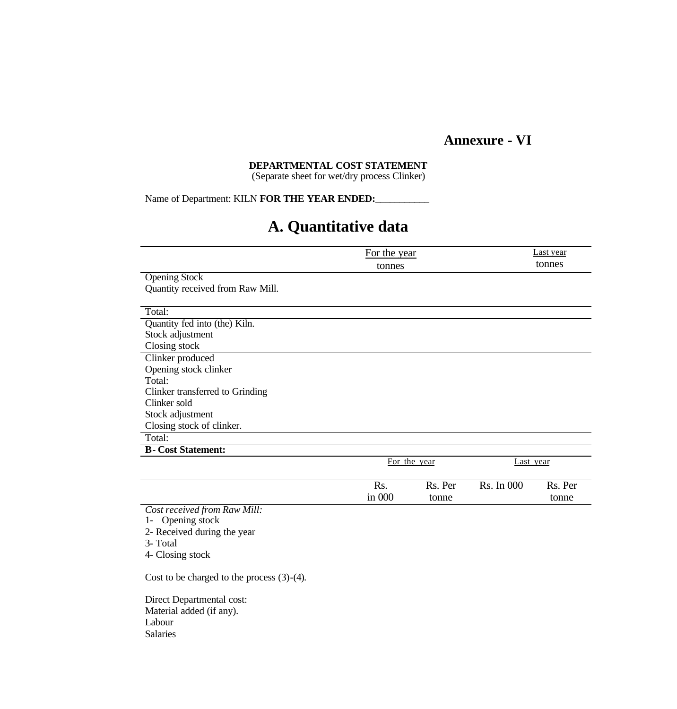## **Annexure - VI**

## **DEPARTMENTAL COST STATEMENT**

(Separate sheet for wet/dry process Clinker)

Name of Department: KILN FOR THE YEAR ENDED:

## **A. Quantitative data**

|                                                                                            | For the year |              |            | Last year |
|--------------------------------------------------------------------------------------------|--------------|--------------|------------|-----------|
|                                                                                            | tonnes       |              |            | tonnes    |
| <b>Opening Stock</b>                                                                       |              |              |            |           |
| Quantity received from Raw Mill.                                                           |              |              |            |           |
|                                                                                            |              |              |            |           |
| Total:                                                                                     |              |              |            |           |
| Quantity fed into (the) Kiln.                                                              |              |              |            |           |
| Stock adjustment                                                                           |              |              |            |           |
| Closing stock                                                                              |              |              |            |           |
| Clinker produced                                                                           |              |              |            |           |
| Opening stock clinker                                                                      |              |              |            |           |
| Total:                                                                                     |              |              |            |           |
| Clinker transferred to Grinding                                                            |              |              |            |           |
| Clinker sold                                                                               |              |              |            |           |
| Stock adjustment                                                                           |              |              |            |           |
| Closing stock of clinker.                                                                  |              |              |            |           |
| Total:                                                                                     |              |              |            |           |
| <b>B</b> -Cost Statement:                                                                  |              |              |            |           |
|                                                                                            |              | For the year |            | Last year |
|                                                                                            | Rs.          | Rs. Per      | Rs. In 000 | Rs. Per   |
|                                                                                            | in $000$     | tonne        |            | tonne     |
| $C_{n+1}$ and $C_{n+1}$ is $I \rightarrow I$ and $I \rightarrow I$ and $I \rightarrow I$ . |              |              |            |           |

*Cost received from Raw Mill:*

1- Opening stock

2- Received during the year

3- Total

4- Closing stock

Cost to be charged to the process (3)-(4).

Direct Departmental cost: Material added (if any). Labour Salaries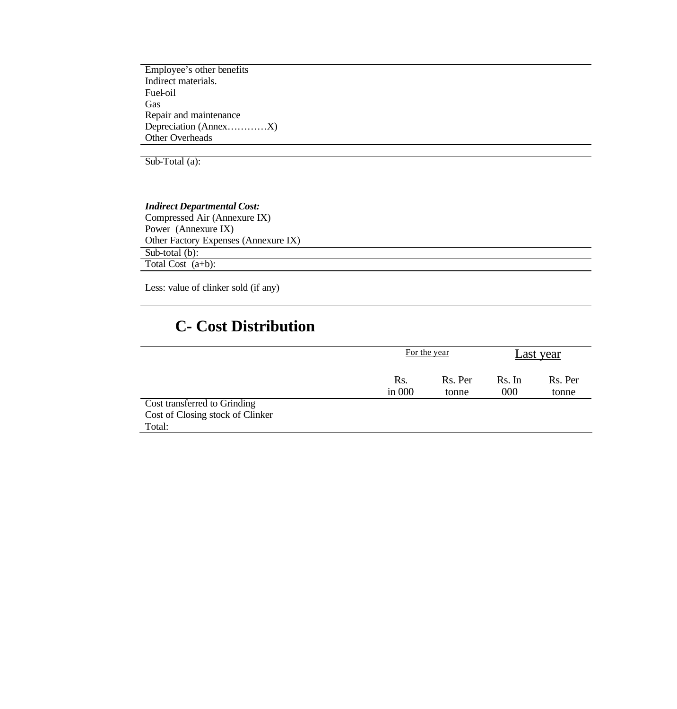Employee's other benefits Indirect materials. Fuel-oil Gas Repair and maintenance Depreciation (Annex…………X) Other Overheads

Sub-Total (a):

### *Indirect Departmental Cost:* Compressed Air (Annexure IX) Power (Annexure IX) Other Factory Expenses (Annexure IX) Sub-total  $(b)$ : Total Cost (a+b):

Less: value of clinker sold (if any)

# **C- Cost Distribution**

|                                  | For the year    | Last year        |               |                  |
|----------------------------------|-----------------|------------------|---------------|------------------|
|                                  | Rs.<br>in $000$ | Rs. Per<br>tonne | Rs. In<br>000 | Rs. Per<br>tonne |
| Cost transferred to Grinding     |                 |                  |               |                  |
| Cost of Closing stock of Clinker |                 |                  |               |                  |
| Total:                           |                 |                  |               |                  |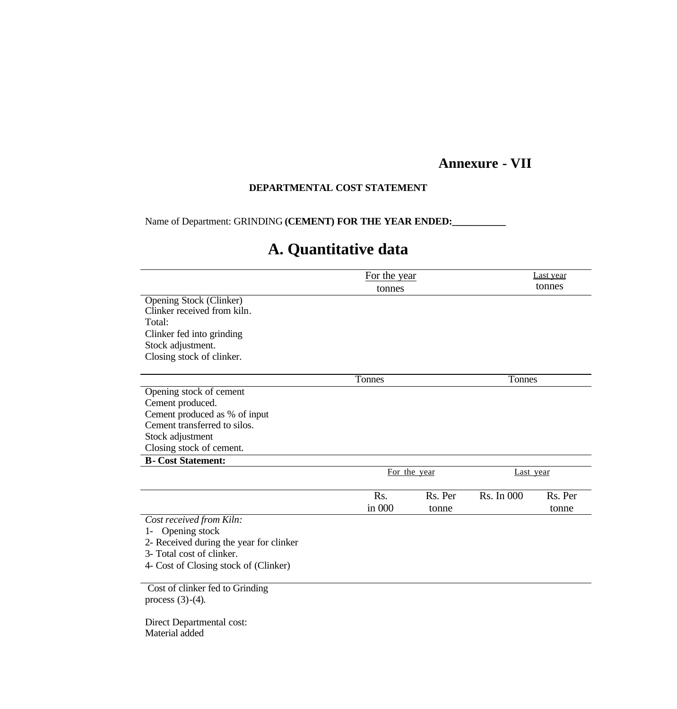## **Annexure - VII**

### **DEPARTMENTAL COST STATEMENT**

Name of Department: GRINDING (CEMENT) FOR THE YEAR ENDED:

# **A. Quantitative data**

|                                         | For the year |         | Last year<br>tonnes |         |  |
|-----------------------------------------|--------------|---------|---------------------|---------|--|
|                                         | tonnes       |         |                     |         |  |
| <b>Opening Stock (Clinker)</b>          |              |         |                     |         |  |
| Clinker received from kiln.             |              |         |                     |         |  |
| Total:                                  |              |         |                     |         |  |
| Clinker fed into grinding               |              |         |                     |         |  |
| Stock adjustment.                       |              |         |                     |         |  |
| Closing stock of clinker.               |              |         |                     |         |  |
|                                         | Tonnes       |         | Tonnes              |         |  |
| Opening stock of cement                 |              |         |                     |         |  |
| Cement produced.                        |              |         |                     |         |  |
| Cement produced as % of input           |              |         |                     |         |  |
| Cement transferred to silos.            |              |         |                     |         |  |
| Stock adjustment                        |              |         |                     |         |  |
| Closing stock of cement.                |              |         |                     |         |  |
| <b>B-Cost Statement:</b>                |              |         |                     |         |  |
|                                         | For the year |         | <u>Last year</u>    |         |  |
|                                         | Rs.          | Rs. Per | Rs. In 000          | Rs. Per |  |
|                                         | in 000       | tonne   |                     | tonne   |  |
| Cost received from Kiln:                |              |         |                     |         |  |
| Opening stock<br>$1-$                   |              |         |                     |         |  |
| 2- Received during the year for clinker |              |         |                     |         |  |
| 3- Total cost of clinker.               |              |         |                     |         |  |
| 4- Cost of Closing stock of (Clinker)   |              |         |                     |         |  |
|                                         |              |         |                     |         |  |
| Cost of clinker fed to Grinding         |              |         |                     |         |  |
| process $(3)-(4)$ .                     |              |         |                     |         |  |
| Direct Departmental cost:               |              |         |                     |         |  |

Material added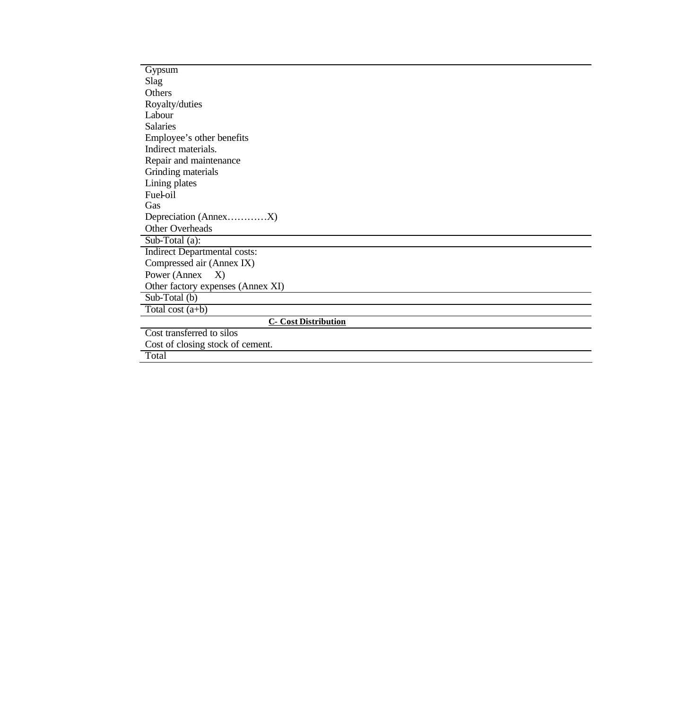| Gypsum             |                                     |
|--------------------|-------------------------------------|
| Slag               |                                     |
| Others             |                                     |
| Royalty/duties     |                                     |
| Labour             |                                     |
| <b>Salaries</b>    |                                     |
|                    | Employee's other benefits           |
|                    | Indirect materials.                 |
|                    | Repair and maintenance              |
|                    | Grinding materials                  |
| Lining plates      |                                     |
| Fueloil            |                                     |
| Gas                |                                     |
|                    |                                     |
| Other Overheads    |                                     |
| $Sub-Total(a):$    |                                     |
|                    | <b>Indirect Departmental costs:</b> |
|                    | Compressed air (Annex IX)           |
|                    | Power (Annex X)                     |
|                    | Other factory expenses (Annex XI)   |
| Sub-Total (b)      |                                     |
| Total cost $(a+b)$ |                                     |
|                    | <b>C- Cost Distribution</b>         |
|                    | Cost transferred to silos           |
|                    | Cost of closing stock of cement.    |
| Total              |                                     |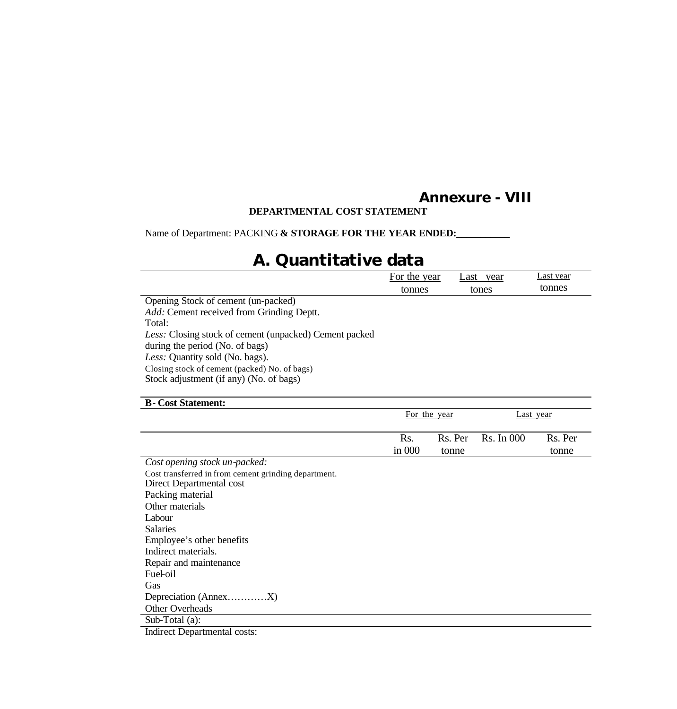## **Annexure - VIII**

### **DEPARTMENTAL COST STATEMENT**

Name of Department: PACKING & STORAGE FOR THE YEAR ENDED:

# **A. Quantitative data**

|                                                                                          | For the year |         | Last year         | Last year |  |
|------------------------------------------------------------------------------------------|--------------|---------|-------------------|-----------|--|
|                                                                                          | tonnes       |         | tones             | tonnes    |  |
| Opening Stock of cement (un-packed)                                                      |              |         |                   |           |  |
| Add: Cement received from Grinding Deptt.                                                |              |         |                   |           |  |
| Total:                                                                                   |              |         |                   |           |  |
| Less: Closing stock of cement (unpacked) Cement packed                                   |              |         |                   |           |  |
| during the period (No. of bags)                                                          |              |         |                   |           |  |
| Less: Quantity sold (No. bags).                                                          |              |         |                   |           |  |
| Closing stock of cement (packed) No. of bags)<br>Stock adjustment (if any) (No. of bags) |              |         |                   |           |  |
| <b>B</b> -Cost Statement:                                                                |              |         |                   |           |  |
|                                                                                          | For the year |         |                   | Last year |  |
|                                                                                          | Rs.          | Rs. Per | <b>Rs.</b> In 000 | Rs. Per   |  |
|                                                                                          | in $000$     | tonne   |                   | tonne     |  |
| Cost opening stock un-packed:                                                            |              |         |                   |           |  |
| Cost transferred in from cement grinding department.                                     |              |         |                   |           |  |
| Direct Departmental cost                                                                 |              |         |                   |           |  |
| Packing material                                                                         |              |         |                   |           |  |

Packing material Other materials Labour Salaries Employee's other benefits Indirect materials. Repair and maintenance Fuel-oil Gas Depreciation (Annex…………X) Other Overheads Sub-Total (a): Indirect Departmental costs: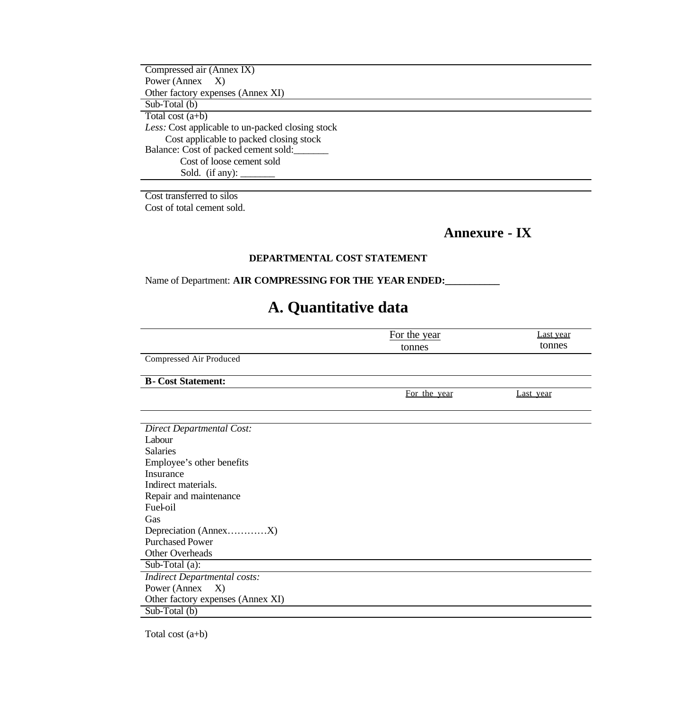Compressed air (Annex IX) Power (Annex X) Other factory expenses (Annex XI) Sub-Total (b) Total cost (a+b) *Less:* Cost applicable to un-packed closing stock Cost applicable to packed closing stock Balance: Cost of packed cement sold:\_\_\_\_\_\_\_ Cost of loose cement sold Sold. (if any):  $\qquad \qquad$ 

Cost transferred to silos Cost of total cement sold.

**Annexure - IX** 

### **DEPARTMENTAL COST STATEMENT**

Name of Department: **AIR COMPRESSING FOR THE YEAR ENDED:** 

## **A. Quantitative data**

|                                     | For the year | Last year |  |  |
|-------------------------------------|--------------|-----------|--|--|
|                                     | tonnes       | tonnes    |  |  |
| Compressed Air Produced             |              |           |  |  |
|                                     |              |           |  |  |
| <b>B</b> -Cost Statement:           |              |           |  |  |
|                                     | For the year | Last year |  |  |
|                                     |              |           |  |  |
|                                     |              |           |  |  |
| <b>Direct Departmental Cost:</b>    |              |           |  |  |
| Labour                              |              |           |  |  |
| <b>Salaries</b>                     |              |           |  |  |
| Employee's other benefits           |              |           |  |  |
| <b>Insurance</b>                    |              |           |  |  |
| Indirect materials.                 |              |           |  |  |
| Repair and maintenance              |              |           |  |  |
| Fuel-oil                            |              |           |  |  |
| Gas                                 |              |           |  |  |
|                                     |              |           |  |  |
| <b>Purchased Power</b>              |              |           |  |  |
| Other Overheads                     |              |           |  |  |
| Sub-Total (a):                      |              |           |  |  |
| <b>Indirect Departmental costs:</b> |              |           |  |  |
| Power (Annex<br>X)                  |              |           |  |  |
| Other factory expenses (Annex XI)   |              |           |  |  |
| Sub-Total (b)                       |              |           |  |  |

Total cost (a+b)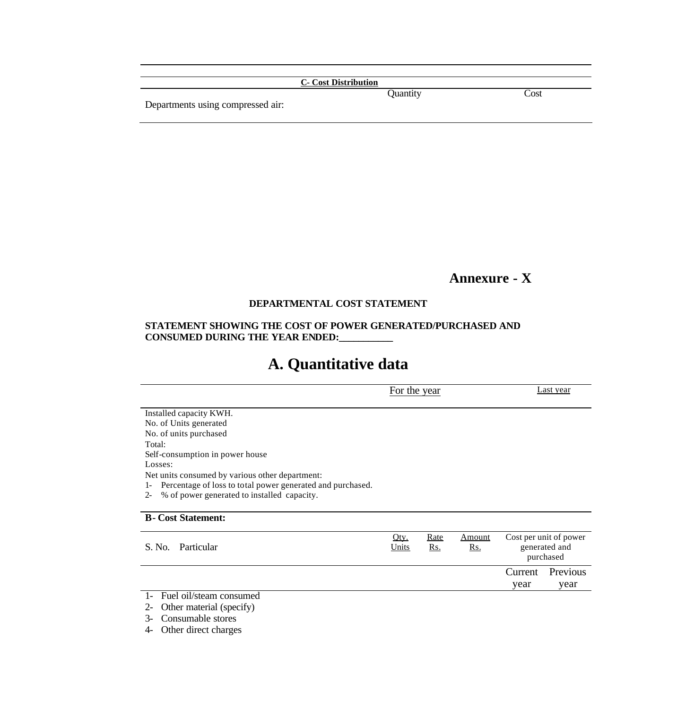|                                   | <b>C</b> - Cost Distribution |      |
|-----------------------------------|------------------------------|------|
| Departments using compressed air: | Quantity                     | Cost |

## **Annexure - X**

### **DEPARTMENTAL COST STATEMENT**

### **STATEMENT SHOWING THE COST OF POWER GENERATED/PURCHASED AND CONSUMED DURING THE YEAR ENDED:\_\_\_\_\_\_\_\_\_\_\_**

# **A. Quantitative data**

|                                                                    |       | For the year |            |           | Last year              |  |  |
|--------------------------------------------------------------------|-------|--------------|------------|-----------|------------------------|--|--|
| Installed capacity KWH.                                            |       |              |            |           |                        |  |  |
| No. of Units generated                                             |       |              |            |           |                        |  |  |
| No. of units purchased                                             |       |              |            |           |                        |  |  |
| Total:                                                             |       |              |            |           |                        |  |  |
| Self-consumption in power house                                    |       |              |            |           |                        |  |  |
| Losses:                                                            |       |              |            |           |                        |  |  |
| Net units consumed by various other department:                    |       |              |            |           |                        |  |  |
| Percentage of loss to total power generated and purchased.<br>$1-$ |       |              |            |           |                        |  |  |
| % of power generated to installed capacity.<br>$2 -$               |       |              |            |           |                        |  |  |
| <b>B</b> -Cost Statement:                                          |       |              |            |           |                        |  |  |
|                                                                    | Oty.  | <u>Rate</u>  | Amount     |           | Cost per unit of power |  |  |
| Particular<br>S. No.                                               | Units | <u>Rs.</u>   | <u>Rs.</u> |           | generated and          |  |  |
|                                                                    |       |              |            | purchased |                        |  |  |
|                                                                    |       |              |            | Current   | Previous               |  |  |
|                                                                    |       |              |            | year      | year                   |  |  |
| Fuel oil/steam consumed                                            |       |              |            |           |                        |  |  |

1- Fuel oil/steam consumed

2- Other material (specify)

3- Consumable stores

4- Other direct charges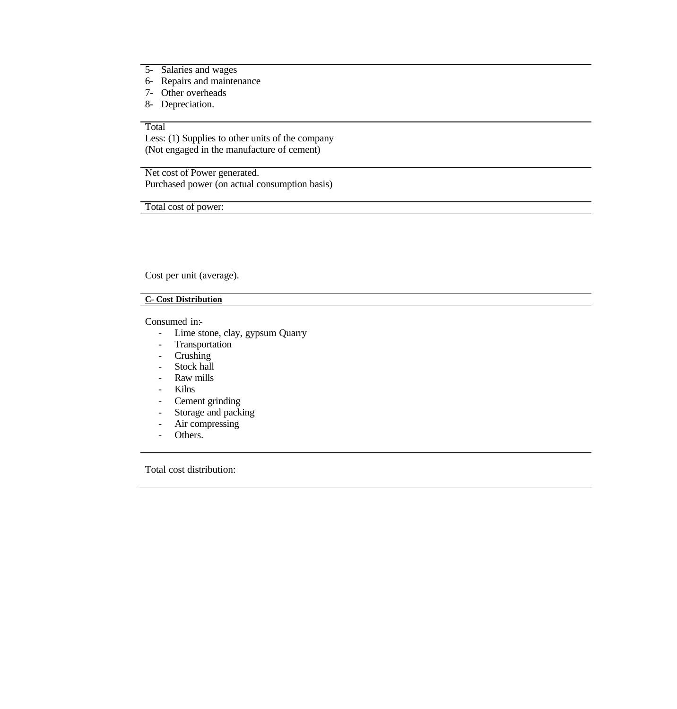- 5- Salaries and wages
- 6- Repairs and maintenance
- 7- Other overheads
- 8- Depreciation.

### Total

Less: (1) Supplies to other units of the company (Not engaged in the manufacture of cement)

Net cost of Power generated. Purchased power (on actual consumption basis)

Total cost of power:

Cost per unit (average).

### **C- Cost Distribution**

Consumed in:-

- Lime stone, clay, gypsum Quarry
- Transportation
- Crushing
- Stock hall
- Raw mills
- Kilns
- Cement grinding
- Storage and packing
- Air compressing
- Others.

Total cost distribution: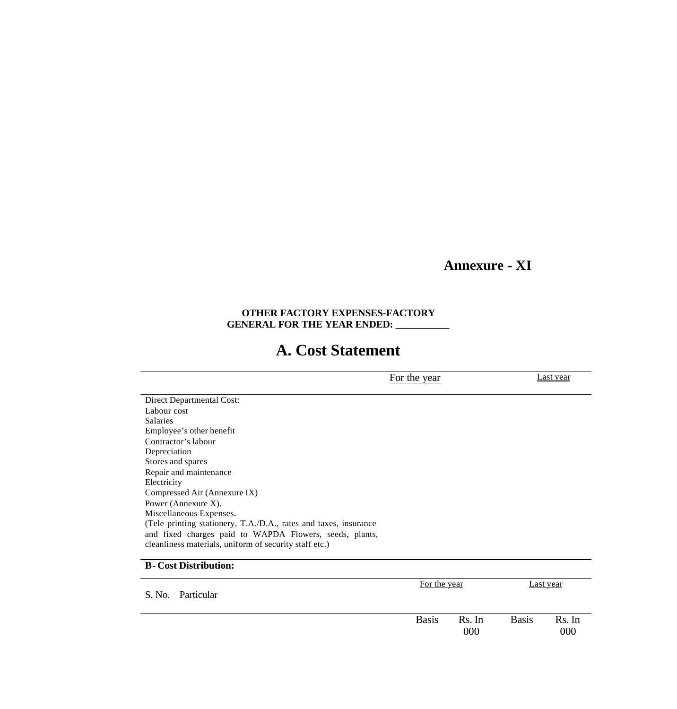## **Annexure - XI**

### **OTHER FACTORY EXPENSES-FACTORY GENERAL FOR THE YEAR ENDED: \_\_\_\_\_\_\_\_\_\_\_**

## **A. Cost Statement**

For the year Last year Direct Departmental Cost: Labour cost Salaries Employee's other benefit Contractor's labour Depreciation Stores and spares Repair and maintenance Electricity Compressed Air (Annexure IX) Power (Annexure X). Miscellaneous Expenses. (Tele printing stationery, T.A./D.A., rates and taxes, insurance and fixed charges paid to WAPDA Flowers, seeds, plants, cleanliness materials, uniform of security staff etc.) **B- Cost Distribution:** S. No. Particular For the year Last year

| <b>Basis</b> | $\mathbf{R}$ c<br>-In | asis | Rs. In |
|--------------|-----------------------|------|--------|
|              | $000\,$               |      | 000    |